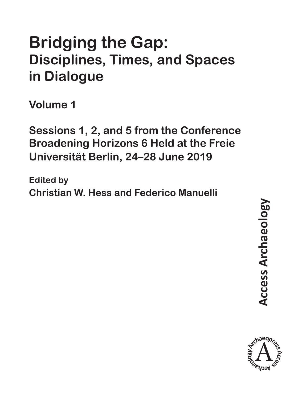# **Bridging the Gap: Disciplines, Times, and Spaces in Dialogue**

**Volume 1**

**Sessions 1, 2, and 5 from the Conference Broadening Horizons 6 Held at the Freie Universität Berlin, 24–28 June 2019**

**Edited by Christian W. Hess and Federico Manuelli**

**Access Archaeology Access Archaeology** 

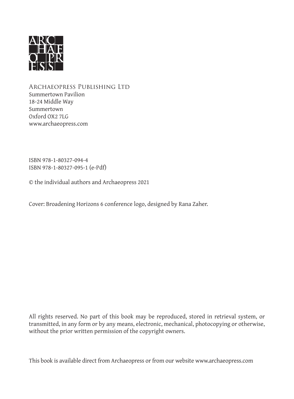

Archaeopress Publishing Ltd Summertown Pavilion 18-24 Middle Way Summertown Oxford OX2 7LG www.archaeopress.com

ISBN 978-1-80327-094-4 ISBN 978-1-80327-095-1 (e-Pdf)

© the individual authors and Archaeopress 2021

Cover: Broadening Horizons 6 conference logo, designed by Rana Zaher.

All rights reserved. No part of this book may be reproduced, stored in retrieval system, or transmitted, in any form or by any means, electronic, mechanical, photocopying or otherwise, without the prior written permission of the copyright owners.

This book is available direct from Archaeopress or from our website www.archaeopress.com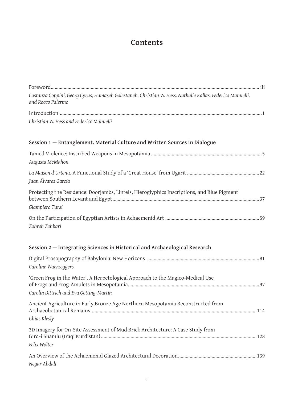## **Contents**

| Costanza Coppini, Georg Cyrus, Hamaseh Golestaneh, Christian W. Hess, Nathalie Kallas, Federico Manuelli,<br>and Rocco Palermo |
|--------------------------------------------------------------------------------------------------------------------------------|
|                                                                                                                                |
| Christian W. Hess and Federico Manuelli                                                                                        |
| Session 1 - Entanglement. Material Culture and Written Sources in Dialogue                                                     |
| Augusta McMahon                                                                                                                |
| Juan Álvarez García                                                                                                            |
| Protecting the Residence: Doorjambs, Lintels, Hieroglyphics Inscriptions, and Blue Pigment<br>Giampiero Tursi                  |
| Zohreh Zehbari                                                                                                                 |
| Session 2 - Integrating Sciences in Historical and Archaeological Research                                                     |
| Caroline Waerzeggers                                                                                                           |
| 'Green Frog in the Water'. A Herpetological Approach to the Magico-Medical Use<br>Carolin Dittrich and Eva Götting-Martin      |
| Ancient Agriculture in Early Bronze Age Northern Mesopotamia Reconstructed from<br>Ghias Klesly                                |
| 3D Imagery for On-Site Assessment of Mud Brick Architecture: A Case Study from<br>Felix Wolter                                 |
| Negar Abdali                                                                                                                   |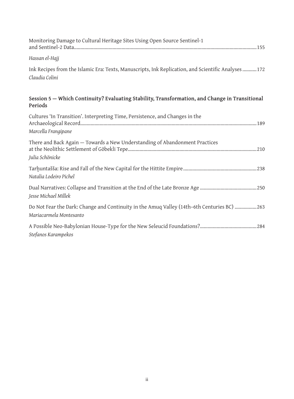| Monitoring Damage to Cultural Heritage Sites Using Open Source Sentinel-1                                             |
|-----------------------------------------------------------------------------------------------------------------------|
| Hassan el-Hajj                                                                                                        |
| Ink Recipes from the Islamic Era: Texts, Manuscripts, Ink Replication, and Scientific Analyses 172<br>Claudia Colini  |
| Session 5 - Which Continuity? Evaluating Stability, Transformation, and Change in Transitional<br>Periods             |
| Cultures 'In Transition'. Interpreting Time, Persistence, and Changes in the<br>Marcella Frangipane                   |
| There and Back Again - Towards a New Understanding of Abandonment Practices<br>Julia Schönicke                        |
| Natalia Lodeiro Pichel                                                                                                |
| Jesse Michael Millek                                                                                                  |
| Do Not Fear the Dark: Change and Continuity in the Amuq Valley (14th-6th Centuries BC) 263<br>Mariacarmela Montesanto |
| Stefanos Karampekos                                                                                                   |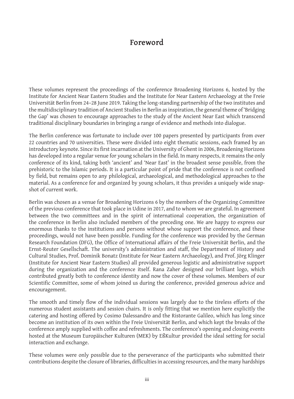### **Foreword**

These volumes represent the proceedings of the conference Broadening Horizons 6, hosted by the Institute for Ancient Near Eastern Studies and the Institute for Near Eastern Archaeology at the Freie Universität Berlin from 24–28 June 2019. Taking the long-standing partnership of the two institutes and the multidisciplinary tradition of Ancient Studies in Berlin as inspiration, the general theme of 'Bridging the Gap' was chosen to encourage approaches to the study of the Ancient Near East which transcend traditional disciplinary boundaries in bringing a range of evidence and methods into dialogue.

The Berlin conference was fortunate to include over 100 papers presented by participants from over 22 countries and 70 universities. These were divided into eight thematic sessions, each framed by an introductory keynote. Since its first incarnation at the University of Ghent in 2006, Broadening Horizons has developed into a regular venue for young scholars in the field. In many respects, it remains the only conference of its kind, taking both 'ancient' and 'Near East' in the broadest sense possible, from the prehistoric to the Islamic periods. It is a particular point of pride that the conference is not confined by field, but remains open to any philological, archaeological, and methodological approaches to the material. As a conference for and organized by young scholars, it thus provides a uniquely wide snapshot of current work.

Berlin was chosen as a venue for Broadening Horizons 6 by the members of the Organizing Committee of the previous conference that took place in Udine in 2017, and to whom we are grateful. In agreement between the two committees and in the spirit of international cooperation, the organization of the conference in Berlin also included members of the preceding one. We are happy to express our enormous thanks to the institutions and persons without whose support the conference, and these proceedings, would not have been possible. Funding for the conference was provided by the German Research Foundation (DFG), the Office of International affairs of the Freie Universität Berlin, and the Ernst-Reuter Gesellschaft. The university's administration and staff, the Department of History and Cultural Studies, Prof. Dominik Bonatz (Institute for Near Eastern Archaeology), and Prof. Jörg Klinger (Institute for Ancient Near Eastern Studies) all provided generous logistic and administrative support during the organization and the conference itself. Rana Zaher designed our brilliant logo, which contributed greatly both to conference identity and now the cover of these volumes. Members of our Scientific Committee, some of whom joined us during the conference, provided generous advice and encouragement.

The smooth and timely flow of the individual sessions was largely due to the tireless efforts of the numerous student assistants and session chairs. It is only fitting that we mention here explicitly the catering and hosting offered by Cosimo Dalessandro and the Ristorante Galileo, which has long since become an institution of its own within the Freie Universität Berlin, and which kept the breaks of the conference amply supplied with coffee and refreshments. The conference's opening and closing events hosted at the Museum Europäischer Kulturen (MEK) by EßKultur provided the ideal setting for social interaction and exchange.

These volumes were only possible due to the perseverance of the participants who submitted their contributions despite the closure of libraries, difficulties in accessing resources, and the many hardships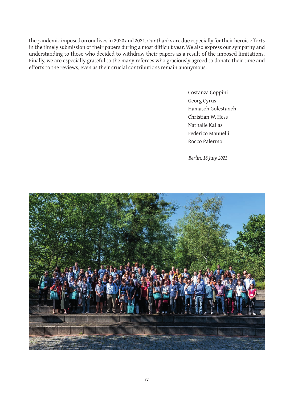the pandemic imposed on our lives in 2020 and 2021. Our thanks are due especially for their heroic efforts in the timely submission of their papers during a most difficult year. We also express our sympathy and understanding to those who decided to withdraw their papers as a result of the imposed limitations. Finally, we are especially grateful to the many referees who graciously agreed to donate their time and efforts to the reviews, even as their crucial contributions remain anonymous.

> Costanza Coppini Georg Cyrus Hamaseh Golestaneh Christian W. Hess Nathalie Kallas Federico Manuelli Rocco Palermo

*Berlin, 18 July 2021*

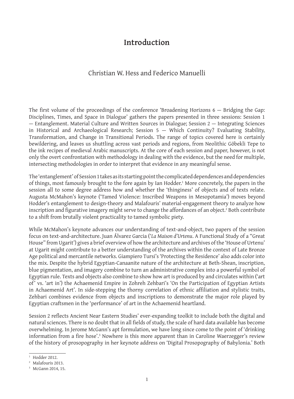### **Introduction**

#### Christian W. Hess and Federico Manuelli

The first volume of the proceedings of the conference 'Broadening Horizons 6 — Bridging the Gap: Disciplines, Times, and Space in Dialogue' gathers the papers presented in three sessions: Session 1 — Entanglement. Material Culture and Written Sources in Dialogue; Session 2 — Integrating Sciences in Historical and Archaeological Research; Session 5 — Which Continuity? Evaluating Stability, Transformation, and Change in Transitional Periods. The range of topics covered here is certainly bewildering, and leaves us shuttling across vast periods and regions, from Neolithic Göbekli Tepe to the ink recipes of medieval Arabic manuscripts. At the core of each session and paper, however, is not only the overt confrontation with methodology in dealing with the evidence, but the need for multiple, intersecting methodologies in order to interpret that evidence in any meaningful sense.

The 'entanglement' of Session 1 takes as its starting point the complicated dependences and dependencies of things, most famously brought to the fore again by Ian Hodder.<del>'</del> More concretely, the papers in the session all to some degree address how and whether the 'thinginess' of objects and of texts relate. Augusta McMahon's keynote ('Tamed Violence: Inscribed Weapons in Mesopotamia') moves beyond Hodder's entanglement to design-theory and Malafouris' material-engagement theory to analyze how inscription and figurative imagery might serve to change the affordances of an object. $\pmb{\cdot}$  Both contribute to a shift from brutally violent practicality to tamed symbolic piety.

While McMahon's keynote advances our understanding of text-and-object, two papers of the session focus on text-and-architecture. Juan Álvarez Garcia ('*La Maison d'Urtenu*. A Functional Study of a "Great House" from Ugarit') gives a brief overview of how the architecture and archives of the 'House of Urtenu' at Ugarit might contribute to a better understanding of the archives within the context of Late Bronze Age political and mercantile networks. Giampiero Tursi's 'Protecting the Residence' also adds color into the mix. Despite the hybrid Egyptian-Canaanite nature of the architecture at Beth-Shean, inscription, blue pigmentation, and imagery combine to turn an administrative complex into a powerful symbol of Egyptian rule. Texts and objects also combine to show how art is produced by and circulates within ('art of' vs. 'art in') the Achaemenid Empire in Zohreh Zehbari's 'On the Participation of Egyptian Artists in Achaemenid Art'. In side-stepping the thorny correlation of ethnic affiliation and stylistic traits, Zehbari combines evidence from objects and inscriptions to demonstrate the major role played by Egyptian craftsmen in the 'performance' of art in the Achaemenid heartland.

Session 2 reflects Ancient Near Eastern Studies' ever-expanding toolkit to include both the digital and natural sciences. There is no doubt that in all fields of study, the scale of hard data available has become overwhelming. In Jerome McGann's apt formulation, we have long since come to the point of 'drinking information from a fire hose'.<sup>3</sup> Nowhere is this more apparent than in Caroline Waerzegger's review of the history of prosopography in her keynote address on 'Digital Prosopography of Babylonia.' Both

 $1$  Hodder 2012.

<sup>&</sup>lt;sup>2</sup> Malafouris 2013.

<sup>&</sup>lt;sup>3</sup> McGann 2014, 15.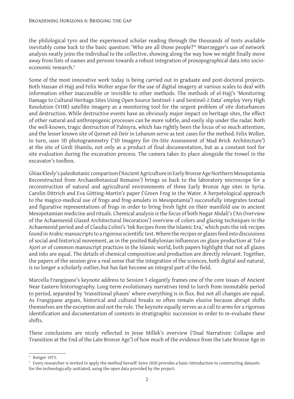the philological tyro and the experienced scholar reading through the thousands of texts available inevitably come back to the basic question: 'Who are all those people?'4 Waerzegger's use of network analysis neatly joins the individual to the collective, showing along the way how we might finally move away from lists of names and persons towards a robust integration of prosopographical data into socioeconomic research.<sup>5</sup>

Some of the most innovative work today is being carried out in graduate and post-doctoral projects. Both Hassan el-Hajj and Felix Wolter argue for the use of digital imagery at various scales to deal with information either inaccessible or invisible to other methods. The methods of el-Hajj's 'Monitoring Damage to Cultural Heritage Sites Using Open Source Sentinel-1 and Sentinel-2 Data' employ Very High Resolution (VHR) satellite imagery as a monitoring tool for the urgent problem of site disturbances and destruction. While destructive events have an obviously major impact on heritage sites, the effect of other natural and anthropogenic processes can be more subtle, and easily slip under the radar. Both the well-known, tragic destruction of Palmyra, which has rightly been the focus of so much attention, and the lesser known site of Qornet ed-Deir in Lebanon serve as test cases for the method. Felix Wolter, in turn, uses 3D photogrammetry ('3D Imagery for On-Site Assessment of Mud Brick Architecture') at the site of Girdi Shamlu, not only as a product of final documentation, but as a constant tool for site evaluation during the excavation process. The camera takes its place alongside the trowel in the excavator's toolbox.

Ghias Klesly's paleobotanic comparison ('Ancient Agriculture in Early Bronze Age Northern Mesopotamia Reconstructed from Archaeobotanical Remains') brings us back to the laboratory microscope for a reconstruction of natural and agricultural environments of three Early Bronze Age sites in Syria. Carolin Dittrich and Eva Götting-Martin's paper ('Green Frog in the Water. A herpetological approach to the magico-medical use of frogs and frog-amulets in Mesopotamia') successfully integrates textual and figurative representations of frogs in order to bring fresh light on their manifold use in ancient Mesopotamian medicine and rituals. Chemical analysis is the focus of both Negar Abdali's ('An Overview of the Achaemenid Glazed Architectural Decoration') overview of colors and glazing techniques in the Achaemenid period and of Claudia Colini's 'Ink Recipes from the Islamic Era,' which puts the ink recipes found in Arabic manuscripts to a rigorous scientific test. Where the recipes or glazes feed into discussions of social and historical movement, as in the posited Babylonian influences on glaze production at Tol-e Ajori or of common manuscript practices in the Islamic world, both papers highlight that not all glazes and inks are equal. The details of chemical composition and production are directly relevant. Together, the papers of the session give a real sense that the integration of the sciences, both digital and natural, is no longer a scholarly outlier, but has fast become an integral part of the field.

Marcella Frangipane's keynote address to Session 5 elegantly frames one of the core issues of Ancient Near Eastern historiography. Long-term evolutionary narratives tend to lurch from immutable period to period, separated by 'transitional phases' where everything is in flux. But not all changes are equal. As Frangipane argues, historical and cultural breaks so often remain elusive because abrupt shifts themselves are the exception and not the rule. The keynote equally serves as a call to arms for a rigorous identification and documentation of contexts in stratigraphic succession in order to re-evaluate these shifts.

These conclusions are nicely reflected in Jesse Millek's overview ('Dual Narratives: Collapse and Transition at the End of the Late Bronze Age') of how much of the evidence from the Late Bronze Age in

<sup>4</sup> Renger 1973.

<sup>5</sup> Every researcher is invited to apply the method herself: Seire 2020 provides a basic introduction to constructing datasets for the technologically unitiated, using the open data provided by the project.